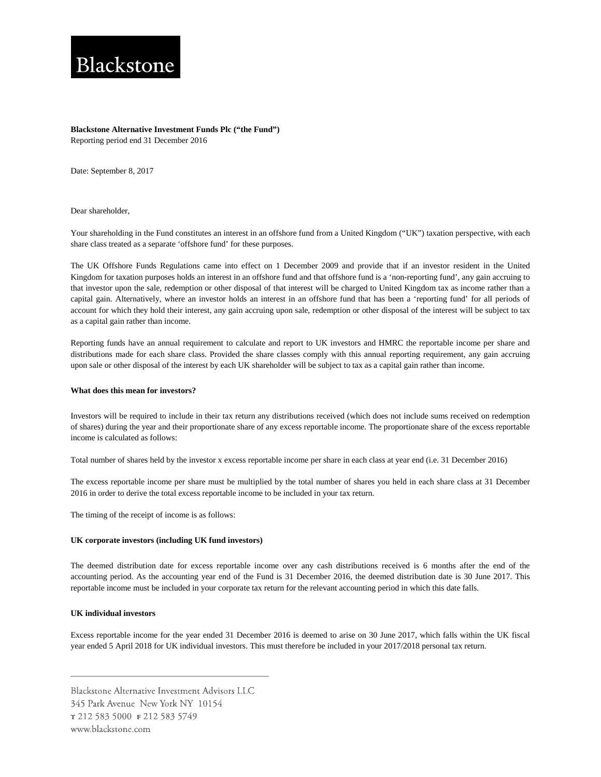# Blackstone

# **Blackstone Alternative Investment Funds Plc ("the Fund")** Reporting period end 31 December 2016

Date: September 8, 2017

Dear shareholder,

Your shareholding in the Fund constitutes an interest in an offshore fund from a United Kingdom ("UK") taxation perspective, with each share class treated as a separate 'offshore fund' for these purposes.

The UK Offshore Funds Regulations came into effect on 1 December 2009 and provide that if an investor resident in the United Kingdom for taxation purposes holds an interest in an offshore fund and that offshore fund is a 'non-reporting fund', any gain accruing to that investor upon the sale, redemption or other disposal of that interest will be charged to United Kingdom tax as income rather than a capital gain. Alternatively, where an investor holds an interest in an offshore fund that has been a 'reporting fund' for all periods of account for which they hold their interest, any gain accruing upon sale, redemption or other disposal of the interest will be subject to tax as a capital gain rather than income.

Reporting funds have an annual requirement to calculate and report to UK investors and HMRC the reportable income per share and distributions made for each share class. Provided the share classes comply with this annual reporting requirement, any gain accruing upon sale or other disposal of the interest by each UK shareholder will be subject to tax as a capital gain rather than income.

#### **What does this mean for investors?**

Investors will be required to include in their tax return any distributions received (which does not include sums received on redemption of shares) during the year and their proportionate share of any excess reportable income. The proportionate share of the excess reportable income is calculated as follows:

Total number of shares held by the investor x excess reportable income per share in each class at year end (i.e. 31 December 2016)

The excess reportable income per share must be multiplied by the total number of shares you held in each share class at 31 December 2016 in order to derive the total excess reportable income to be included in your tax return.

The timing of the receipt of income is as follows:

## **UK corporate investors (including UK fund investors)**

The deemed distribution date for excess reportable income over any cash distributions received is 6 months after the end of the accounting period. As the accounting year end of the Fund is 31 December 2016, the deemed distribution date is 30 June 2017. This reportable income must be included in your corporate tax return for the relevant accounting period in which this date falls.

## **UK individual investors**

Excess reportable income for the year ended 31 December 2016 is deemed to arise on 30 June 2017, which falls within the UK fiscal year ended 5 April 2018 for UK individual investors. This must therefore be included in your 2017/2018 personal tax return.

Blackstone Alternative Investment Advisors LLC 345 Park Avenue New York NY 10154 т 212 583 5000 ғ 212 583 5749 www.blackstone.com